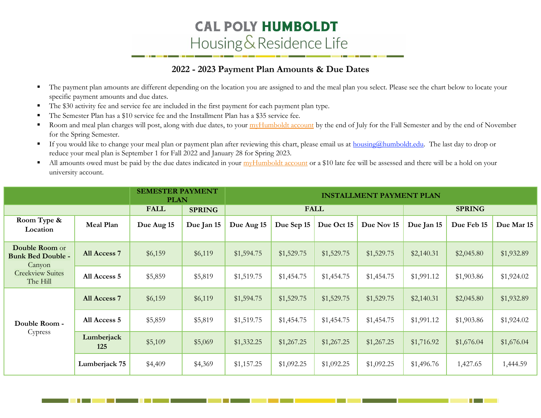## **CAL POLY HUMBOLDT** Housing & Residence Life

## **2022 - 2023 Payment Plan Amounts & Due Dates**

- The payment plan amounts are different depending on the location you are assigned to and the meal plan you select. Please see the chart below to locate your specific payment amounts and due dates.
- **The \$30 activity fee and service fee are included in the first payment for each payment plan type.**
- The Semester Plan has a \$10 service fee and the Installment Plan has a \$35 service fee.
- **•** Room and meal plan charges will post, along with due dates, to your *myHumboldt account* by the end of July for the Fall Semester and by the end of November for the Spring Semester.
- If you would like to change your meal plan or payment plan after reviewing this chart, please email us at **housing@humboldt.edu**. The last day to drop or reduce your meal plan is September 1 for Fall 2022 and January 28 for Spring 2023.
- All amounts owed must be paid by the due dates indicated in your [myHumboldt account](http://my.humboldt.edu/) or a \$10 late fee will be assessed and there will be a hold on your university account.

|                                                                                             |                   | <b>SEMESTER PAYMENT</b><br><b>PLAN</b> |               | <b>INSTALLMENT PAYMENT PLAN</b> |            |            |            |            |            |            |  |
|---------------------------------------------------------------------------------------------|-------------------|----------------------------------------|---------------|---------------------------------|------------|------------|------------|------------|------------|------------|--|
|                                                                                             |                   | <b>FALL</b>                            | <b>SPRING</b> | <b>FALL</b><br><b>SPRING</b>    |            |            |            |            |            |            |  |
| Room Type &<br>Location                                                                     | Meal Plan         | Due Aug 15                             | Due Jan 15    | Due Aug 15                      | Due Sep 15 | Due Oct 15 | Due Nov 15 | Due Jan 15 | Due Feb 15 | Due Mar 15 |  |
| Double Room or<br><b>Bunk Bed Double -</b><br>Canyon<br><b>Creekview Suites</b><br>The Hill | All Access 7      | \$6,159                                | \$6,119       | \$1,594.75                      | \$1,529.75 | \$1,529.75 | \$1,529.75 | \$2,140.31 | \$2,045.80 | \$1,932.89 |  |
|                                                                                             | All Access 5      | \$5,859                                | \$5,819       | \$1,519.75                      | \$1,454.75 | \$1,454.75 | \$1,454.75 | \$1,991.12 | \$1,903.86 | \$1,924.02 |  |
| Double Room -<br>Cypress                                                                    | All Access 7      | \$6,159                                | \$6,119       | \$1,594.75                      | \$1,529.75 | \$1,529.75 | \$1,529.75 | \$2,140.31 | \$2,045.80 | \$1,932.89 |  |
|                                                                                             | All Access 5      | \$5,859                                | \$5,819       | \$1,519.75                      | \$1,454.75 | \$1,454.75 | \$1,454.75 | \$1,991.12 | \$1,903.86 | \$1,924.02 |  |
|                                                                                             | Lumberjack<br>125 | \$5,109                                | \$5,069       | \$1,332.25                      | \$1,267.25 | \$1,267.25 | \$1,267.25 | \$1,716.92 | \$1,676.04 | \$1,676.04 |  |
|                                                                                             | Lumberjack 75     | \$4,409                                | \$4,369       | \$1,157.25                      | \$1,092.25 | \$1,092.25 | \$1,092.25 | \$1,496.76 | 1,427.65   | 1,444.59   |  |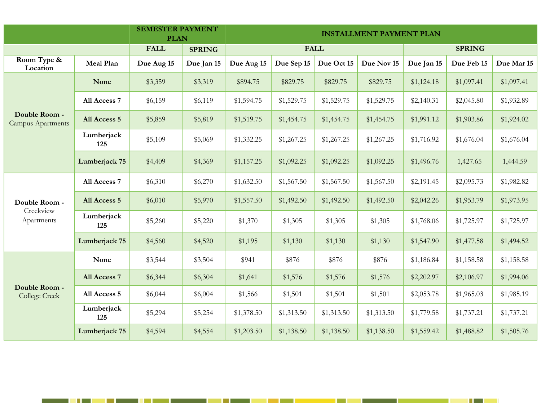|                                           |                   | <b>SEMESTER PAYMENT</b><br><b>PLAN</b> |               | <b>INSTALLMENT PAYMENT PLAN</b> |            |            |            |               |            |            |  |
|-------------------------------------------|-------------------|----------------------------------------|---------------|---------------------------------|------------|------------|------------|---------------|------------|------------|--|
|                                           |                   | <b>FALL</b>                            | <b>SPRING</b> | <b>FALL</b>                     |            |            |            | <b>SPRING</b> |            |            |  |
| Room Type &<br>Location                   | <b>Meal Plan</b>  | Due Aug 15                             | Due Jan 15    | Due Aug 15                      | Due Sep 15 | Due Oct 15 | Due Nov 15 | Due Jan 15    | Due Feb 15 | Due Mar 15 |  |
|                                           | None              | \$3,359                                | \$3,319       | \$894.75                        | \$829.75   | \$829.75   | \$829.75   | \$1,124.18    | \$1,097.41 | \$1,097.41 |  |
|                                           | All Access 7      | \$6,159                                | \$6,119       | \$1,594.75                      | \$1,529.75 | \$1,529.75 | \$1,529.75 | \$2,140.31    | \$2,045.80 | \$1,932.89 |  |
| Double Room -<br><b>Campus Apartments</b> | All Access 5      | \$5,859                                | \$5,819       | \$1,519.75                      | \$1,454.75 | \$1,454.75 | \$1,454.75 | \$1,991.12    | \$1,903.86 | \$1,924.02 |  |
|                                           | Lumberjack<br>125 | \$5,109                                | \$5,069       | \$1,332.25                      | \$1,267.25 | \$1,267.25 | \$1,267.25 | \$1,716.92    | \$1,676.04 | \$1,676.04 |  |
|                                           | Lumberjack 75     | \$4,409                                | \$4,369       | \$1,157.25                      | \$1,092.25 | \$1,092.25 | \$1,092.25 | \$1,496.76    | 1,427.65   | 1,444.59   |  |
|                                           | All Access 7      | \$6,310                                | \$6,270       | \$1,632.50                      | \$1,567.50 | \$1,567.50 | \$1,567.50 | \$2,191.45    | \$2,095.73 | \$1,982.82 |  |
| Double Room -                             | All Access 5      | \$6,010                                | \$5,970       | \$1,557.50                      | \$1,492.50 | \$1,492.50 | \$1,492.50 | \$2,042.26    | \$1,953.79 | \$1,973.95 |  |
| Creekview<br>Apartments                   | Lumberjack<br>125 | \$5,260                                | \$5,220       | \$1,370                         | \$1,305    | \$1,305    | \$1,305    | \$1,768.06    | \$1,725.97 | \$1,725.97 |  |
|                                           | Lumberjack 75     | \$4,560                                | \$4,520       | \$1,195                         | \$1,130    | \$1,130    | \$1,130    | \$1,547.90    | \$1,477.58 | \$1,494.52 |  |
|                                           | None              | \$3,544                                | \$3,504       | \$941                           | \$876      | \$876      | \$876      | \$1,186.84    | \$1,158.58 | \$1,158.58 |  |
| Double Room -<br><b>College Creek</b>     | All Access 7      | \$6,344                                | \$6,304       | \$1,641                         | \$1,576    | \$1,576    | \$1,576    | \$2,202.97    | \$2,106.97 | \$1,994.06 |  |
|                                           | All Access 5      | \$6,044                                | \$6,004       | \$1,566                         | \$1,501    | \$1,501    | \$1,501    | \$2,053.78    | \$1,965.03 | \$1,985.19 |  |
|                                           | Lumberjack<br>125 | \$5,294                                | \$5,254       | \$1,378.50                      | \$1,313.50 | \$1,313.50 | \$1,313.50 | \$1,779.58    | \$1,737.21 | \$1,737.21 |  |
|                                           | Lumberjack 75     | \$4,594                                | \$4,554       | \$1,203.50                      | \$1,138.50 | \$1,138.50 | \$1,138.50 | \$1,559.42    | \$1,488.82 | \$1,505.76 |  |

<u> International Second Control Second Control Second Control Second Control Second Control Second Control Second</u>

a shekarar 1980

Here is a strong of the strong strong in the strong strong strong in the strong strong strong strong in the strong strong strong strong strong strong strong strong strong strong strong strong strong strong strong strong st

**STAR**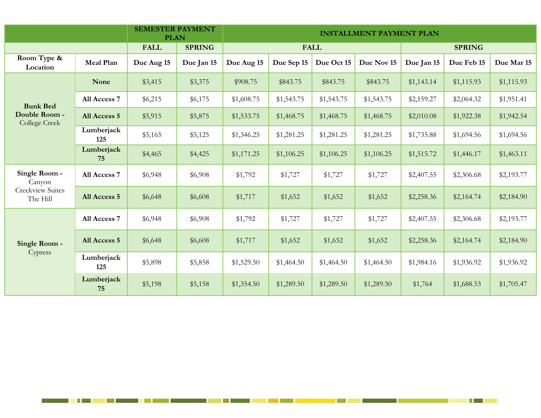|                                                                |                   | <b>SEMESTER PAYMENT</b><br><b>PLAN</b> |               | <b>INSTALLMENT PAYMENT PLAN</b> |            |            |            |               |            |            |  |
|----------------------------------------------------------------|-------------------|----------------------------------------|---------------|---------------------------------|------------|------------|------------|---------------|------------|------------|--|
|                                                                |                   | <b>FALL</b>                            | <b>SPRING</b> | <b>FALL</b>                     |            |            |            | <b>SPRING</b> |            |            |  |
| Room Type &<br>Location                                        | Meal Plan         | Due Aug 15                             | Due Jan 15    | Due Aug 15                      | Due Sep 15 | Due Oct 15 | Due Nov 15 | Due Jan 15    | Due Feb 15 | Due Mar 15 |  |
|                                                                | <b>None</b>       | \$3,415                                | \$3,375       | \$908.75                        | \$843.75   | \$843.75   | \$843.75   | \$1,143.14    | \$1,115.93 | \$1,115.93 |  |
| <b>Bunk Bed</b>                                                | All Access 7      | \$6,215                                | \$6,175       | \$1,608.75                      | \$1,543.75 | \$1,543.75 | \$1,543.75 | \$2,159.27    | \$2,064.32 | \$1,951.41 |  |
| Double Room -<br><b>College Creek</b>                          | All Access 5      | \$5,915                                | \$5,875       | \$1,533.75                      | \$1,468.75 | \$1,468.75 | \$1,468.75 | \$2,010.08    | \$1,922.38 | \$1,942.54 |  |
|                                                                | Lumberjack<br>125 | \$5,165                                | \$5,125       | \$1,346.25                      | \$1,281.25 | \$1,281.25 | \$1,281.25 | \$1,735.88    | \$1,694.56 | \$1,694.56 |  |
|                                                                | Lumberjack<br>75  | \$4,465                                | \$4,425       | \$1,171.25                      | \$1,106.25 | \$1,106.25 | \$1,106.25 | \$1,515.72    | \$1,446.17 | \$1,463.11 |  |
| Single Room -<br>Canyon<br><b>Creekview Suites</b><br>The Hill | All Access 7      | \$6,948                                | \$6,908       | \$1,792                         | \$1,727    | \$1,727    | \$1,727    | \$2,407.55    | \$2,306.68 | \$2,193.77 |  |
|                                                                | All Access 5      | \$6,648                                | \$6,608       | \$1,717                         | \$1,652    | \$1,652    | \$1,652    | \$2,258.36    | \$2,164.74 | \$2,184.90 |  |
| Single Room -<br>Cypress                                       | All Access 7      | \$6,948                                | \$6,908       | \$1,792                         | \$1,727    | \$1,727    | \$1,727    | \$2,407.55    | \$2,306.68 | \$2,193.77 |  |
|                                                                | All Access 5      | \$6,648                                | \$6,608       | \$1,717                         | \$1,652    | \$1,652    | \$1,652    | \$2,258.36    | \$2,164.74 | \$2,184.90 |  |
|                                                                | Lumberjack<br>125 | \$5,898                                | \$5,858       | \$1,529.50                      | \$1,464.50 | \$1,464.50 | \$1,464.50 | \$1,984.16    | \$1,936.92 | \$1,936.92 |  |
|                                                                | Lumberjack<br>75  | \$5,198                                | \$5,158       | \$1,354.50                      | \$1,289.50 | \$1,289.50 | \$1,289.50 | \$1,764       | \$1,688.53 | \$1,705.47 |  |

a kacamatan ing Kabupatèn Kabupatèn Kabupatèn Kabupatèn Kabupatèn Kabupatèn Kabupatèn Kabupatèn Kabupatèn Kabu

<u> La Carlo de la Ca</u>

<u> Tanzania (</u>